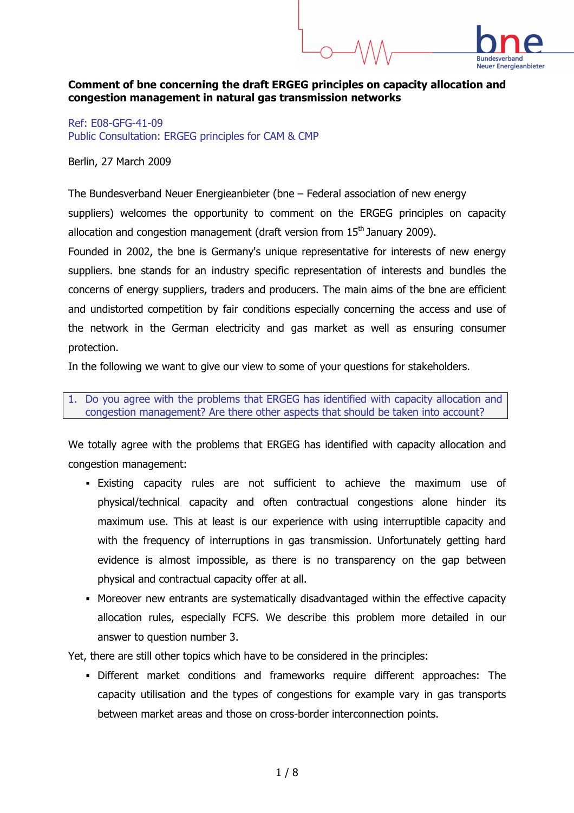## Comment of bne concerning the draft ERGEG principles on capacity allocation and congestion management in natural gas transmission networks

Ref: E08-GFG-41-09 Public Consultation: ERGEG principles for CAM & CMP

Berlin, 27 March 2009

The Bundesverband Neuer Energieanbieter (bne – Federal association of new energy suppliers) welcomes the opportunity to comment on the ERGEG principles on capacity allocation and congestion management (draft version from  $15<sup>th</sup>$  January 2009).

Founded in 2002, the bne is Germany's unique representative for interests of new energy suppliers. bne stands for an industry specific representation of interests and bundles the concerns of energy suppliers, traders and producers. The main aims of the bne are efficient and undistorted competition by fair conditions especially concerning the access and use of the network in the German electricity and gas market as well as ensuring consumer protection.

In the following we want to give our view to some of your questions for stakeholders.

1. Do you agree with the problems that ERGEG has identified with capacity allocation and congestion management? Are there other aspects that should be taken into account?

We totally agree with the problems that ERGEG has identified with capacity allocation and congestion management:

- Existing capacity rules are not sufficient to achieve the maximum use of physical/technical capacity and often contractual congestions alone hinder its maximum use. This at least is our experience with using interruptible capacity and with the frequency of interruptions in gas transmission. Unfortunately getting hard evidence is almost impossible, as there is no transparency on the gap between physical and contractual capacity offer at all.
- Moreover new entrants are systematically disadvantaged within the effective capacity allocation rules, especially FCFS. We describe this problem more detailed in our answer to question number 3.

Yet, there are still other topics which have to be considered in the principles:

 Different market conditions and frameworks require different approaches: The capacity utilisation and the types of congestions for example vary in gas transports between market areas and those on cross-border interconnection points.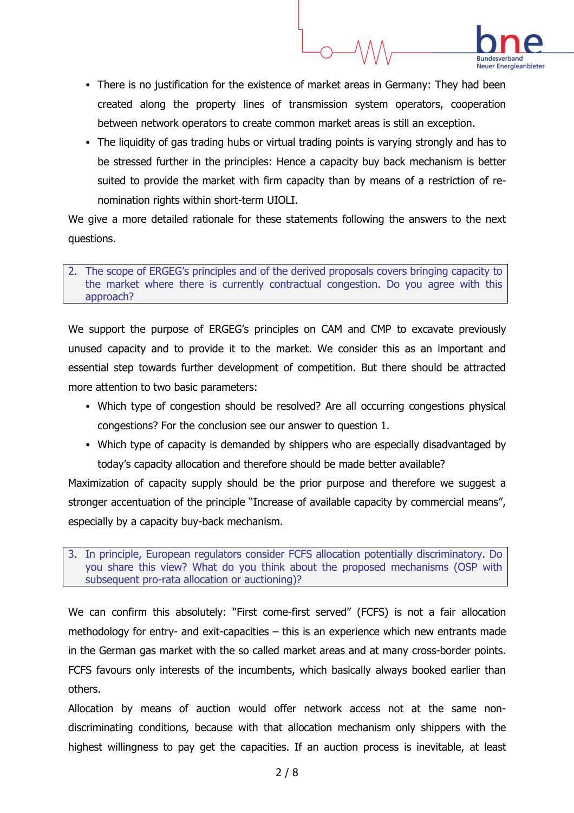

- There is no justification for the existence of market areas in Germany: They had been created along the property lines of transmission system operators, cooperation between network operators to create common market areas is still an exception.
- The liquidity of gas trading hubs or virtual trading points is varying strongly and has to be stressed further in the principles: Hence a capacity buy back mechanism is better suited to provide the market with firm capacity than by means of a restriction of renomination rights within short-term UIOLI.

We give a more detailed rationale for these statements following the answers to the next questions.

#### 2. The scope of ERGEG's principles and of the derived proposals covers bringing capacity to the market where there is currently contractual congestion. Do you agree with this approach?

We support the purpose of ERGEG's principles on CAM and CMP to excavate previously unused capacity and to provide it to the market. We consider this as an important and essential step towards further development of competition. But there should be attracted more attention to two basic parameters:

- Which type of congestion should be resolved? Are all occurring congestions physical congestions? For the conclusion see our answer to question 1.
- Which type of capacity is demanded by shippers who are especially disadvantaged by today's capacity allocation and therefore should be made better available?

Maximization of capacity supply should be the prior purpose and therefore we suggest a stronger accentuation of the principle "Increase of available capacity by commercial means", especially by a capacity buy-back mechanism.

3. In principle, European regulators consider FCFS allocation potentially discriminatory. Do you share this view? What do you think about the proposed mechanisms (OSP with subsequent pro-rata allocation or auctioning)?

We can confirm this absolutely: "First come-first served" (FCFS) is not a fair allocation methodology for entry- and exit-capacities – this is an experience which new entrants made in the German gas market with the so called market areas and at many cross-border points. FCFS favours only interests of the incumbents, which basically always booked earlier than others.

Allocation by means of auction would offer network access not at the same nondiscriminating conditions, because with that allocation mechanism only shippers with the highest willingness to pay get the capacities. If an auction process is inevitable, at least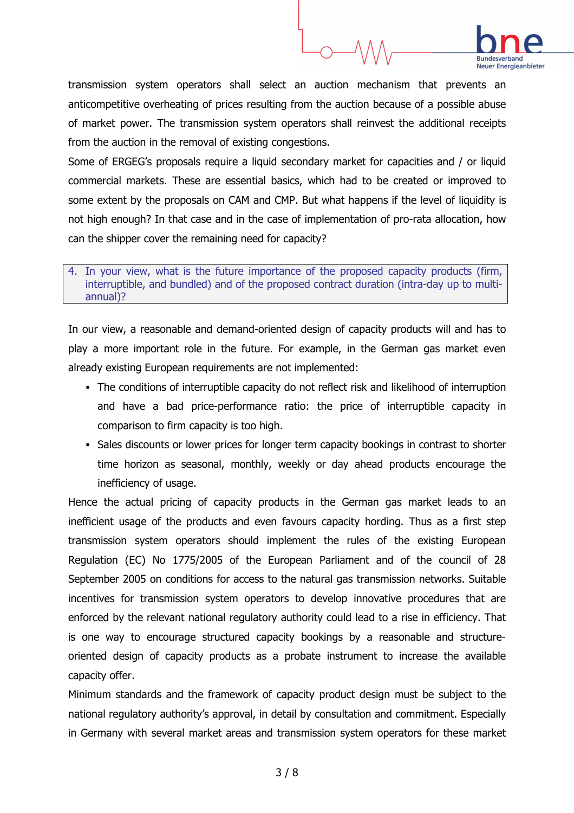

transmission system operators shall select an auction mechanism that prevents an anticompetitive overheating of prices resulting from the auction because of a possible abuse of market power. The transmission system operators shall reinvest the additional receipts from the auction in the removal of existing congestions.

Some of ERGEG's proposals require a liquid secondary market for capacities and / or liquid commercial markets. These are essential basics, which had to be created or improved to some extent by the proposals on CAM and CMP. But what happens if the level of liquidity is not high enough? In that case and in the case of implementation of pro-rata allocation, how can the shipper cover the remaining need for capacity?

#### 4. In your view, what is the future importance of the proposed capacity products (firm, interruptible, and bundled) and of the proposed contract duration (intra-day up to multiannual)?

In our view, a reasonable and demand-oriented design of capacity products will and has to play a more important role in the future. For example, in the German gas market even already existing European requirements are not implemented:

- The conditions of interruptible capacity do not reflect risk and likelihood of interruption and have a bad price-performance ratio: the price of interruptible capacity in comparison to firm capacity is too high.
- Sales discounts or lower prices for longer term capacity bookings in contrast to shorter time horizon as seasonal, monthly, weekly or day ahead products encourage the inefficiency of usage.

Hence the actual pricing of capacity products in the German gas market leads to an inefficient usage of the products and even favours capacity hording. Thus as a first step transmission system operators should implement the rules of the existing European Regulation (EC) No 1775/2005 of the European Parliament and of the council of 28 September 2005 on conditions for access to the natural gas transmission networks. Suitable incentives for transmission system operators to develop innovative procedures that are enforced by the relevant national regulatory authority could lead to a rise in efficiency. That is one way to encourage structured capacity bookings by a reasonable and structureoriented design of capacity products as a probate instrument to increase the available capacity offer.

Minimum standards and the framework of capacity product design must be subject to the national regulatory authority's approval, in detail by consultation and commitment. Especially in Germany with several market areas and transmission system operators for these market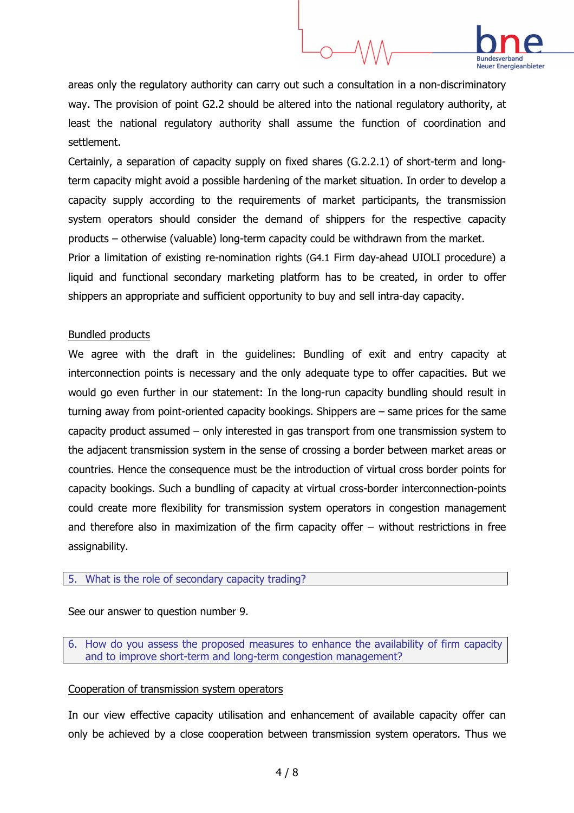

areas only the regulatory authority can carry out such a consultation in a non-discriminatory way. The provision of point G2.2 should be altered into the national regulatory authority, at least the national regulatory authority shall assume the function of coordination and settlement.

Certainly, a separation of capacity supply on fixed shares (G.2.2.1) of short-term and longterm capacity might avoid a possible hardening of the market situation. In order to develop a capacity supply according to the requirements of market participants, the transmission system operators should consider the demand of shippers for the respective capacity products – otherwise (valuable) long-term capacity could be withdrawn from the market. Prior a limitation of existing re-nomination rights (G4.1 Firm day-ahead UIOLI procedure) a liquid and functional secondary marketing platform has to be created, in order to offer shippers an appropriate and sufficient opportunity to buy and sell intra-day capacity.

## Bundled products

We agree with the draft in the guidelines: Bundling of exit and entry capacity at interconnection points is necessary and the only adequate type to offer capacities. But we would go even further in our statement: In the long-run capacity bundling should result in turning away from point-oriented capacity bookings. Shippers are – same prices for the same capacity product assumed – only interested in gas transport from one transmission system to the adjacent transmission system in the sense of crossing a border between market areas or countries. Hence the consequence must be the introduction of virtual cross border points for capacity bookings. Such a bundling of capacity at virtual cross-border interconnection-points could create more flexibility for transmission system operators in congestion management and therefore also in maximization of the firm capacity offer – without restrictions in free assignability.

## 5. What is the role of secondary capacity trading?

See our answer to question number 9.

6. How do you assess the proposed measures to enhance the availability of firm capacity and to improve short-term and long-term congestion management?

# Cooperation of transmission system operators

In our view effective capacity utilisation and enhancement of available capacity offer can only be achieved by a close cooperation between transmission system operators. Thus we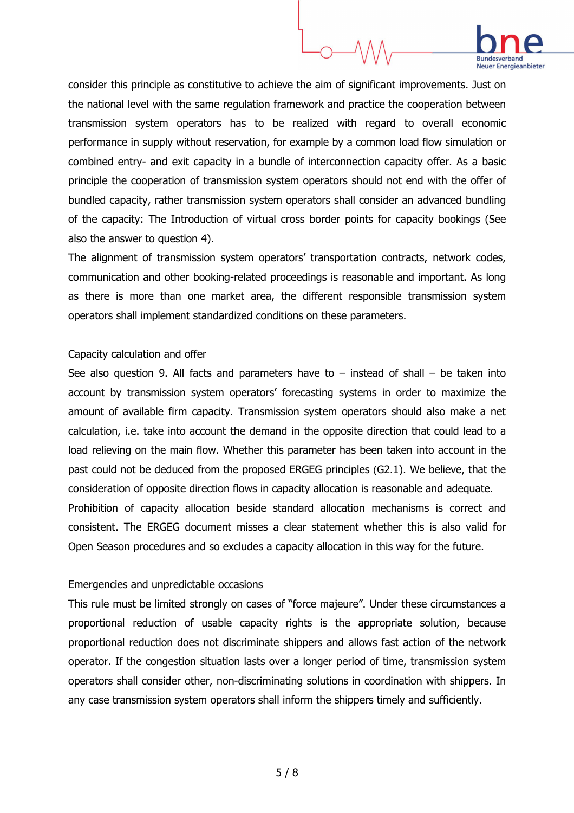# **Rundesverband Neuer Energieanbieter**

consider this principle as constitutive to achieve the aim of significant improvements. Just on the national level with the same regulation framework and practice the cooperation between transmission system operators has to be realized with regard to overall economic performance in supply without reservation, for example by a common load flow simulation or combined entry- and exit capacity in a bundle of interconnection capacity offer. As a basic principle the cooperation of transmission system operators should not end with the offer of bundled capacity, rather transmission system operators shall consider an advanced bundling of the capacity: The Introduction of virtual cross border points for capacity bookings (See also the answer to question 4).

The alignment of transmission system operators' transportation contracts, network codes, communication and other booking-related proceedings is reasonable and important. As long as there is more than one market area, the different responsible transmission system operators shall implement standardized conditions on these parameters.

## Capacity calculation and offer

See also question 9. All facts and parameters have to  $-$  instead of shall  $-$  be taken into account by transmission system operators' forecasting systems in order to maximize the amount of available firm capacity. Transmission system operators should also make a net calculation, i.e. take into account the demand in the opposite direction that could lead to a load relieving on the main flow. Whether this parameter has been taken into account in the past could not be deduced from the proposed ERGEG principles (G2.1). We believe, that the consideration of opposite direction flows in capacity allocation is reasonable and adequate. Prohibition of capacity allocation beside standard allocation mechanisms is correct and consistent. The ERGEG document misses a clear statement whether this is also valid for Open Season procedures and so excludes a capacity allocation in this way for the future.

## Emergencies and unpredictable occasions

This rule must be limited strongly on cases of "force majeure". Under these circumstances a proportional reduction of usable capacity rights is the appropriate solution, because proportional reduction does not discriminate shippers and allows fast action of the network operator. If the congestion situation lasts over a longer period of time, transmission system operators shall consider other, non-discriminating solutions in coordination with shippers. In any case transmission system operators shall inform the shippers timely and sufficiently.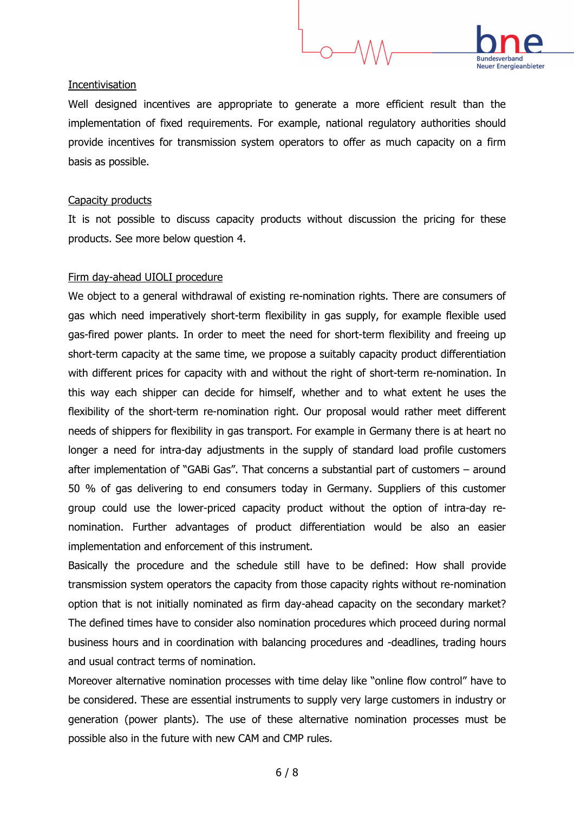#### **Incentivisation**

Well designed incentives are appropriate to generate a more efficient result than the implementation of fixed requirements. For example, national regulatory authorities should provide incentives for transmission system operators to offer as much capacity on a firm basis as possible.

### Capacity products

It is not possible to discuss capacity products without discussion the pricing for these products. See more below question 4.

### Firm day-ahead UIOLI procedure

We object to a general withdrawal of existing re-nomination rights. There are consumers of gas which need imperatively short-term flexibility in gas supply, for example flexible used gas-fired power plants. In order to meet the need for short-term flexibility and freeing up short-term capacity at the same time, we propose a suitably capacity product differentiation with different prices for capacity with and without the right of short-term re-nomination. In this way each shipper can decide for himself, whether and to what extent he uses the flexibility of the short-term re-nomination right. Our proposal would rather meet different needs of shippers for flexibility in gas transport. For example in Germany there is at heart no longer a need for intra-day adjustments in the supply of standard load profile customers after implementation of "GABi Gas". That concerns a substantial part of customers – around 50 % of gas delivering to end consumers today in Germany. Suppliers of this customer group could use the lower-priced capacity product without the option of intra-day renomination. Further advantages of product differentiation would be also an easier implementation and enforcement of this instrument.

Basically the procedure and the schedule still have to be defined: How shall provide transmission system operators the capacity from those capacity rights without re-nomination option that is not initially nominated as firm day-ahead capacity on the secondary market? The defined times have to consider also nomination procedures which proceed during normal business hours and in coordination with balancing procedures and -deadlines, trading hours and usual contract terms of nomination.

Moreover alternative nomination processes with time delay like "online flow control" have to be considered. These are essential instruments to supply very large customers in industry or generation (power plants). The use of these alternative nomination processes must be possible also in the future with new CAM and CMP rules.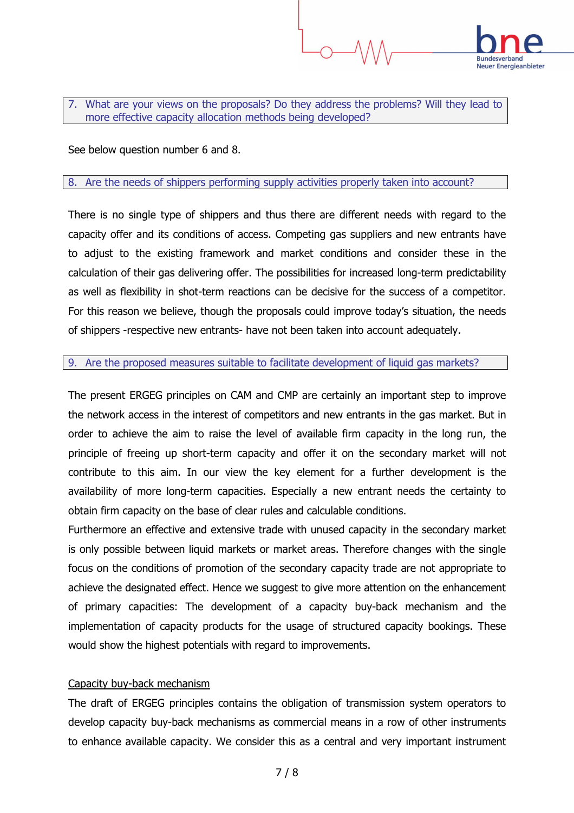

7. What are your views on the proposals? Do they address the problems? Will they lead to more effective capacity allocation methods being developed?

See below question number 6 and 8.

#### 8. Are the needs of shippers performing supply activities properly taken into account?

There is no single type of shippers and thus there are different needs with regard to the capacity offer and its conditions of access. Competing gas suppliers and new entrants have to adjust to the existing framework and market conditions and consider these in the calculation of their gas delivering offer. The possibilities for increased long-term predictability as well as flexibility in shot-term reactions can be decisive for the success of a competitor. For this reason we believe, though the proposals could improve today's situation, the needs of shippers -respective new entrants- have not been taken into account adequately.

#### 9. Are the proposed measures suitable to facilitate development of liquid gas markets?

The present ERGEG principles on CAM and CMP are certainly an important step to improve the network access in the interest of competitors and new entrants in the gas market. But in order to achieve the aim to raise the level of available firm capacity in the long run, the principle of freeing up short-term capacity and offer it on the secondary market will not contribute to this aim. In our view the key element for a further development is the availability of more long-term capacities. Especially a new entrant needs the certainty to obtain firm capacity on the base of clear rules and calculable conditions.

Furthermore an effective and extensive trade with unused capacity in the secondary market is only possible between liquid markets or market areas. Therefore changes with the single focus on the conditions of promotion of the secondary capacity trade are not appropriate to achieve the designated effect. Hence we suggest to give more attention on the enhancement of primary capacities: The development of a capacity buy-back mechanism and the implementation of capacity products for the usage of structured capacity bookings. These would show the highest potentials with regard to improvements.

### Capacity buy-back mechanism

The draft of ERGEG principles contains the obligation of transmission system operators to develop capacity buy-back mechanisms as commercial means in a row of other instruments to enhance available capacity. We consider this as a central and very important instrument